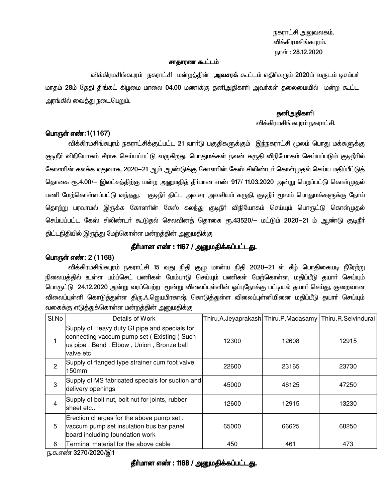நகராட்சி அலுவலகம், விக்கிரமசிங்கபுரம். நாள்: 28.12.2020

#### சாதாரண கூட்டம்

விக்கிரமசிங்கபுரம் நகராட்சி மன்றத்தின் **அவசரக்** கூட்டம் எதிர்வரும் 2020ம் வருடம் டிசம்பர் மாதம் 28ம் தேதி திங்கட் கிழமை மாலை 04.00 மணிக்கு தனிஅதிகாரி அவர்கள் தலைமையில் மன்ற கூட்ட அரங்கில் வைத்து நடைபெறும்.

### **தனி**.அதிகாரி

விக்கிரமசிங்கபுரம் நகராட்சி.

### பொருள் எண்:1(1167)

விக்கிரமசிங்கபுரம் நகராட்சிக்குட்பட்ட 21 வாா்டு பகுதிகளுக்கும் இந்நகராட்சி மூலம் பொது மக்களுக்கு குடிநீா் விநியோகம் சீராக செய்யப்பட்டு வருகிறது. பொதுமக்கள் நலன் கருதி விநியோகம் செய்யப்படும் குடிநீாில் கோளாின் கலக்க ஏதுவாக, 2020—21 ஆம் ஆண்டுக்கு கோளாின் கேஸ் சிலிண்டா் கொள்முதல் செய்ய மதிப்பீட்டுத் தொகை ரூ.4.00/— இலட்சத்திற்கு மன்ற அனுமதித் தீா்மான எண் 917/ 11.03.2020 அன்று பெறப்பட்டு கொள்முதல் பணி மேற்கொள்ளப்பட்டு வந்தது. குடிநீா் திட்ட அவசர அவசியம் கருதி, குடிநீா் மூலம் பொதுமக்களுக்கு நோய் தொற்று பரவாமல் இருக்க கோளரின் கேஸ் கலந்து குடிநீா் விநியோகம் செய்யும் பொருட்டு கொள்முதல் செய்யப்பட்ட கேஸ் சிலிண்டா் கூடுதல் செலவினக் தொகை ரூ.43520/— மட்டும் 2020—21 ம் ஆண்டு குடிநீா் திட்டநிதியில் இருந்து மேற்கொள்ள மன்றத்தின் அனுமதிக்கு

## தீர்மான எண் : 1167 / அனுமதிக்கப்பட்டது.

### பொருள் எண்: 2 (1168)

விக்கிரமசிங்கபுரம் நகராட்சி 15 வது நிதி குழு மான்ய நிதி 2020—21 ள் கீழ் பொதிகையடி நீரேற்று நிலையத்தில் உள்ள பம்ப்செட் பணிகள் மேம்பாடு செய்யும் பணிகள் மேற்கொள்ள, மதிப்பீடு தயார் செய்யும் பொருட்டு 24.12.2020 அன்று வரப்பெற்ற மூன்று விலைப்புள்ளின் ஓப்புநோக்கு பட்டியல் தயாா் செய்து, குறைவான விலைப்புள்ளி கொடுத்துள்ள திரு..A.ஜெயபிரகாஷ் கொடுத்துள்ள விலைப்புள்ளியினை மதிப்பீடு தயார் செய்யும் வகைக்கு எடுத்துக்கொள்ள மன்றத்தின் அனுமதிக்கு

| SI.No          | Details of Work                                                                                                                                       | Thiru.A.Jeyaprakash Thiru.P.Madasamy Thiru.R.Selvindurai |       |       |
|----------------|-------------------------------------------------------------------------------------------------------------------------------------------------------|----------------------------------------------------------|-------|-------|
|                | Supply of Heavy duty GI pipe and specials for<br>connecting vaccum pump set (Existing) Such<br>us pipe, Bend. Elbow, Union, Bronze ball<br>lvalve etc | 12300                                                    | 12608 | 12915 |
| $\mathfrak{p}$ | Supply of flanged type strainer cum foot valve<br>150mm                                                                                               | 22600                                                    | 23165 | 23730 |
| 3              | Supply of MS fabricated specials for suction and<br>delivery openings                                                                                 | 45000                                                    | 46125 | 47250 |
| 4              | Supply of bolt nut, bolt nut for joints, rubber<br>lsheet etc                                                                                         | 12600                                                    | 12915 | 13230 |
| 5              | Erection charges for the above pump set,<br>vaccum pump set insulation bus bar panel<br>board including foundation work                               | 65000                                                    | 66625 | 68250 |
| 6              | Terminal material for the above cable                                                                                                                 | 450                                                      | 461   | 473   |

ந.க.எண் 3270/2020/இ1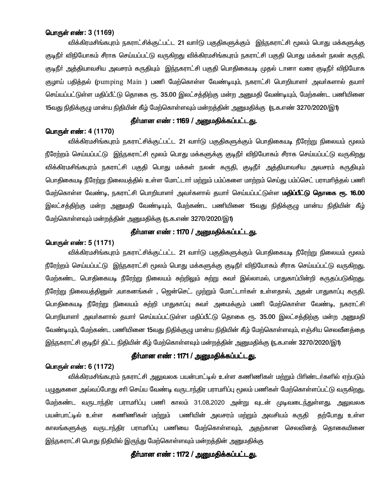## பொருள் எண்: 3 (1169)

விக்கிரமசிங்கபுரம் நகராட்சிக்குட்பட்ட 21 வாா்டு பகுதிகளுக்கும் இந்நகராட்சி மூலம் பொது மக்களுக்கு குடிநீா் விநியோகம் சீராக செய்யப்பட்டு வருகிறது விக்கிரமசிங்கபுரம் நகராட்சி பகுதி பொது மக்கள் நலன் கருதி, குடிநீா் அத்தியாவசிய அவசரம் கருதியும் இந்நகராட்சி பகுதி பொதிகையடி முதல் டானா வரை குடிநீா் விநியோக குழாய் பதித்தல் (pumping Main ) பணி மேற்கொள்ள வேண்டியும், நகராட்சி பொறியாளர் அவர்களால் தயார் செய்யப்பட்டுள்ள மதிப்பீட்டு தொகை ரூ. 35.00 இலட்சத்திற்கு மன்ற அனுமதி வேண்டியும், மேற்கண்ட பணியினை 15வது நிதிக்குழு மான்ய நிதியின் கீழ் மேற்கொள்ளவும் மன்றத்தின் அனுமதிக்கு (ந.க.எண் 3270/2020/இ1)

### தீர்மான எண் : 1169 / அனுமதிக்கப்பட்டது.

#### பொருள் எண்: 4 (1170)

விக்கிரமசிங்கபுரம் நகராட்சிக்குட்பட்ட 21 வார்டு பகுதிகளுக்கும் பொதிகையடி நீரேற்று நிலையம் மூலம் நீரேற்றம் செய்யப்பட்டு இந்நகராட்சி மூலம் பொது மக்களுக்கு குடிநீர் விநியோகம் சீராக செய்யப்பட்டு வருகிறது விக்கிரமசிங்கபுரம் நகராட்சி பகுதி பொது மக்கள் நலன் கருதி, குடிநீா் அத்தியாவசிய அவசரம் கருதியும் பொதிகையடி நீரேற்று நிலையத்தில் உள்ள மோட்டார் மற்றும் பம்ப்களை மாற்றம் செய்து பம்ப்செட் பராமரித்தல் பணி மேற்கொள்ள வேண்டி, நகராட்சி பொறியாளா் அவா்களால் தயாா் செய்யப்பட்டுள்ள **மதிப்பீட்டு தொகை ரூ. 16.00** இலட்சத்திற்கு மன்ற அனுமதி வேண்டியும், மேற்கண்ட பணியினை 15வது நிதிக்குழு மான்ய நிதியின் கீழ் மேற்கொள்ளவும் மன்றத்தின் அனுமதிக்கு ரு.க.எண் 3270/2020/இ1)

## தீர்மான எண் : 1170 / அனுமதிக்கப்பட்டது.

### பொருள் எண்: 5 (1171)

விக்கிரமசிங்கபூம் நகராட்சிக்குட்பட்ட 21 வார்டு பகுகிகளுக்கும் பொகிகையடி நீரேற்று நிலையம் மூலம் நீரேற்றம் செய்யப்பட்டு இந்நகராட்சி மூலம் பொது மக்களுக்கு குடிநீர் விநியோகம் சீராக செய்யப்பட்டு வருகிறது. மேற்கண்ட பொதிகையடி நீரேற்று நிலையம் சுற்றிலும் சுற்று சுவா் இல்லாமல், பாதுகாப்பின்றி கருதப்படுகி<u>றது</u>. நீரேற்று நிலையத்தினுள் ,வாகனங்கள் , ஜென்செட். முற்றும் மோட்டார்கள் உள்ளதால், அதன் பாதுகாப்பு கருதி. பொகிகையடி நீரேற்று நிலையம் சுற்றி பாகுகாப்பு சுவர் அமைக்கும் பணி மேற்கொள்ள வேண்டி, நகராட்சி பொறியாளா் அவா்களால் தயாா் செய்யப்பட்டுள்ள மதிப்பீட்டு தொகை ரூ. 35.00 இலட்சத்திற்கு மன்ற அனுமதி வேண்டியும், மேற்கண்ட பணியினை 15வது நிதிக்குழு மான்ய நிதியின் கீழ் மேற்கொள்ளவும், எஞ்சிய செலவீனத்தை இந்நகராட்சி குடிநீா் திட்ட நிதியின் கீழ் மேற்கொள்ளவும் மன்றத்தின் அனுமதிக்கு ரு.க.எண் 3270/2020/இ1)

# தீர்மான எண்: 1171 / அனுமதிக்கப்பட்டது.

# பொருள் எண்: 6 (1172)

விக்கிரமசிங்கபுரம் நகராட்சி அலுவலக பயன்பாட்டில் உள்ள கணிணிகள் மற்றும் பிரிண்டர்களில் ஏற்படும் பமுதுகளை அவ்வப்போது சரி செய்ய வேண்டி வருடாந்திர பராமரிப்பு மூலம் பணிகள் மேற்கொள்ளப்பட்டு வருகிறது. மேற்கண்ட வருடாந்திர பராமரிப்பு பணி காலம் 31.08.2020 அன்று வுடன் முடிவடைந்துள்ளது. அலுவலக பயன்பாட்டில் உள்ள கணிணிகள் மற்றும் பணியின் அவசரம் மற்றும் அவசியம் கருதி தற்போது உள்ள காலங்களுக்கு வருடாந்திர பராமாிப்பு பணியை மேற்கொள்ளவும், அதற்கான செலவினத் தொகையினை இந்நகராட்சி பொது நிதியில் இருந்து மேற்கொள்ளவும் மன்றத்தின் அனுமதிக்கு

# தீர்மான எண் : 1172 / அனுமதிக்கப்பட்டது.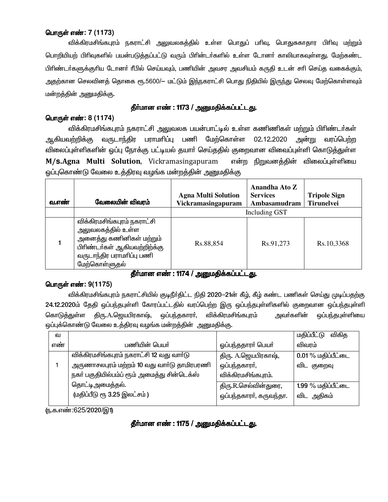# பொருள் எண்: 7 (1173)

விக்கிரமசிங்கபுரம் நகராட்சி அலுவலகத்தில் உள்ள பொதுப் பாிவு, பொதுசுகாதார பிாிவு மற்றும் பொறியியற் பிரிவுகளில் பயன்படுத்தப்பட்டு வரும் பிரின்டர்களில் உள்ள டோனர் காலியாகவுள்ளது. மேற்கண்ட பிரிண்டா்களுக்குரிய டோனா் ரீபில் செய்யவும், பணியின் அவசர அவசியம் கருதி உடன் சாி செய்த வகைக்கும், அதற்கான செலவினத் தொகை ரூ.5600/— மட்டும் இந்நகராட்சி பொது நிதியில் இருந்து செலவு மேற்கொள்ளவும் மன்றத்தின் அனுமதிக்கு.

# தீா்மான எண் : 1173 / அனுமதிக்கப்பட்டது.

# பொருள் எண்: 8 (1174)

விக்கிரமசிங்கபுரம் நகராட்சி அலுவலக பயன்பாட்டில் உள்ள கணிணிகள் மற்றும் பிரிண்டர்கள் ஆகியவற்றிக்கு வருடாந்திர பராமாிப்பு பணி மேற்கொள்ள 02.12.2020 அன்று வரப்பெற்ற விலைப்புள்ளிகளின் ஒப்பு நோக்கு பட்டியல் தயாா் செய்ததில் குறைவான விவைப்புள்ளி கொடுத்துள்ள M/s.Agna Multi Solution, Vickramasingapuram என்ற நிறுவனக்கின் விலைப்பள்ளியை ஒப்புகொண்டு வேலை உத்திரவு வழங்க மன்றத்தின் அனுமதிக்கு

| வ.எண் | வேலையின் விவரம்                                                                                                                                            | <b>Agna Multi Solution</b><br>Vickramasingapuram | Anandha Ato Z<br><b>Services</b><br>Ambasamudram | <b>Tripole Sign</b><br><b>Tirunelvei</b> |
|-------|------------------------------------------------------------------------------------------------------------------------------------------------------------|--------------------------------------------------|--------------------------------------------------|------------------------------------------|
|       |                                                                                                                                                            |                                                  | Including GST                                    |                                          |
|       | விக்கிரமசிங்கபுரம் நகராட்சி<br>அலுவலகத்தில் உள்ள<br>அனைத்து கணினிகள் மற்றும்<br>பிரிண்டர்கள் ஆகியவற்றிற்க்கு<br>வருடாந்திர பராமாிப்பு பணி<br>மேற்கொள்ளுதல் | Rs.88,854                                        | Rs.91,273                                        | Rs.10,3368                               |

## தீா்மான எண் : 1174 / அனுமதிக்கப்பட்டது.

## பொருள் எண்: 9(1175)

விக்கிரமசிங்கபுரம் நகராட்சியில் குடிநீர்திட்ட நிதி 2020—21ன் கீழ், கீழ் கண்ட பணிகள் செய்து முடிப்பதற்கு 24.12.2020ம் தேதி ஒப்பந்தபுள்ளி கோரப்பட்டதில் வரப்பெற்ற இரு ஒப்பந்தபுள்ளிகளில் குறைவான ஒப்பந்தபுள்ளி கொடுத்துள்ள திரு.A.ஜெயபிரகாஷ், ஒப்பந்தகாரா். விக்கிரமசிங்கபுரம் அவா்களின் ஒப்பந்தபுள்ளியை ஒப்புக்கொண்டு வேலை உத்திரவு வழங்க மன்றத்தின் அனுமதிக்கு.

| வ   |                                             |                         | மதிப்பீட்டு<br>விகிக |
|-----|---------------------------------------------|-------------------------|----------------------|
| எண் | பணியின் பெயர்                               | ஒப்பந்ததாரா் பெயா்      | விவரம்               |
|     | விக்கிரமசிங்கபுரம் நகராட்சி 12 வது வார்டு   | திரு. A.ஜெயபிரகாஷ்,     | 0.01 % மதிப்பீட்டை   |
|     | அருணாசலபுரம் மற்றம் 10 வது வாா்டு தாமிரபரணி | ஒப்பந்தகாரா்,           | விட குறைவு           |
|     | நகா் பகுதியில்பம்ப் ரூம் அமைத்து சின்டெக்ஸ் | விக்கிரமசிங்கபுரம்.     |                      |
|     | தொட்டிஅமைத்தல்.                             | திரு.R.செல்வின்துரை,    | 1.99 % மதிப்பீட்டை   |
|     | (மதிப்பீடு ரூ 3.25 இலட்சம்)                 | ஒப்பந்தகாரா், கருவந்தா. | விட அதிகம்           |
|     |                                             |                         |                      |

(ந.க.எண்:625/2020/இ1)

# தீா்மான எண் : 1175 / அனுமதிக்கப்பட்டது.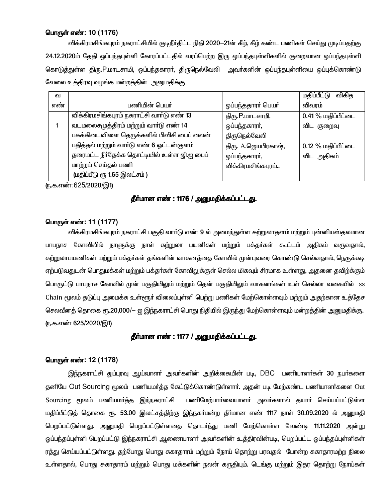## பொருள் எண்: 10 (1176)

விக்கிரமசிங்கபுரம் நகராட்சியில் குடிநீா்திட்ட நிதி 2020—21ன் கீழ், கீழ் கண்ட பணிகள் செய்து முடிப்பதற்கு 24.12.2020ம் தேதி ஒப்பந்தபுள்ளி கோரப்பட்டதில் வரப்பெற்ற இரு ஒப்பந்தபுள்ளிகளில் குறைவான ஒப்பந்தபுள்ளி கொடுத்துள்ள திரு.P.மாடசாமி, ஒப்பந்தகாரா், திருநெல்வேலி அவா்களின் ஒப்பந்தபுள்ளியை ஒப்புக்கொண்டு வேலை உத்திரவு வழங்க மன்றத்தின் அனுமதிக்கு

|                                             |                     | மதிப்பீட்டு<br>விகித |
|---------------------------------------------|---------------------|----------------------|
| பணியின் பெய <b>ர்</b>                       | ஒப்பந்ததாரா் பெயா்  | விவரம்               |
| விக்கிரமசிங்கபுரம் நகராட்சி வார்டு எண் 13   | திரு.P.மாடசாமி,     | 0.41 % மதிப்பீட்டை   |
| வடமலைசமுத்திரம் மற்றும் வார்டு எண் 14       | ஒப்பந்தகாரா்,       | விட குறைவு           |
| பசுக்கிடைவிளை தெருக்களில் பிவிசி பைப் லைன்  | திருநெல்வேலி        |                      |
| பதித்தல் மற்றும் வாா்டு எண் 6 ஓட்டன்குளம்   | திரு. A.ஜெயபிரகாஷ், | 0.12 % மதிப்பீட்டை   |
| தரைமட்ட நீர்தேக்க தொட்டியில் உள்ள ஜி.ஐ பைப் | ஒப்பந்தகாரா்,       | விட அதிகம்           |
| மாற்றம் செய்தல் பணி                         | விக்கிரமசிங்கபுரம்  |                      |
| (மதிப்பீடு ரூ 1.65 இலட்சம்)                 |                     |                      |
|                                             |                     |                      |

(ந.க.எண்:625/2020/இ1)

## தீா்மான எண் : 1176 / அனுமதிக்கப்பட்டது.

### பொருள் எண்: 11 (1177)

விக்கிரமசிங்கபுரம் நகராட்சி பகுதி வார்டு எண் 9 ல் அமைந்துள்ள சுற்றுலாதளம் மற்றும் புன்னியஸ்தலமான பாபநாச கோவிலில் நாளுக்கு நாள் சுற்றுலா பயனிகள் மற்றும் பக்கர்கள் கூட்டம் அதிகம் வருவதால். சுற்றுலாபயணிகள் மற்றும் பக்தர்கள் தங்களின் வாகனத்தை கோவில் முன்புவரை கொண்டு செல்வதால், நெருக்கடி ஏற்படுவதுடன் பொதுமக்கள் மற்றும் பக்தா்கள் கோவிலுக்குள் செல்ல மிகவும் சிரமாக உள்ளது, அதனை தவிற்க்கும் பொருட்டு பாபநாச கோவில் முன் பகுதியிலும் மற்றும் தென் பகுதியிலும் வாகனங்கள் உள் செல்லா வகையில் ss Chain மூலம் தடுப்பு அமைக்க உள்ளூர் விலைப்புள்ளி பெற்று பணிகள் மேற்கொள்ளவும் மற்றும் அதற்கான உத்தேச செலவீனத் தொகை ரூ.20,000/— ஐ இந்நகராட்சி பொது நிதியில் இருந்து மேற்கொள்ளவும் மன்றத்தின் அனுமதிக்கு. <u>ரு.க.எண் 625/2020/இ1)</u>

## தீா்மான எண் : 1177 / அனுமதிக்கப்பட்டது.

### பொருள் எண்: 12 (1178)

இந்நகராட்சி துப்புரவு ஆய்வாளர் அவர்களின் அறிக்கையின் படி, DBC பணியாளர்கள் 30 நபர்களை தனியே Out Sourcing மூலம் பணியமர்த்த கேட்டுக்கொண்டுள்ளார். அதன் படி மேற்கண்ட பணியாளர்களை Out பணிமேற்பார்வையாளர் அவர்களால் தயார் செய்யப்பட்டுள்ள Sourcing மூலம் பணியமர்த்த இந்நகராட்சி மதிப்பீட்டுத் தொகை ரூ. 53.00 இலட்சத்திற்கு இந்நகா்மன்ற தீா்மான எண் 1117 நாள் 30.09.2020 ல் அனுமதி பெறப்பட்டுள்ளது. அனுமதி பெறப்பட்டுள்ளதை தொடர்ந்து பணி மேற்கொள்ள வேண்டி 11.11.2020 அன்று ஒப்பந்தப்புள்ளி பெறப்பட்டு இந்நகராட்சி ஆணையாளர் அவர்களின் உத்திரவின்படி, பெறப்பட்ட ஒப்பந்தப்புள்ளிகள் ரத்து செய்யப்பட்டுள்ளது. தற்போது பொது சுகாதாரம் மற்றும் நோய் தொற்று பரவுதல் போன்ற சுகாதாரமற்ற நிலை உள்ளதால், பொது சுகாதாரம் மற்றும் பொது மக்களின் நலன் கருதியும். டெங்கு மற்றும் இதர தொற்று நோய்கள்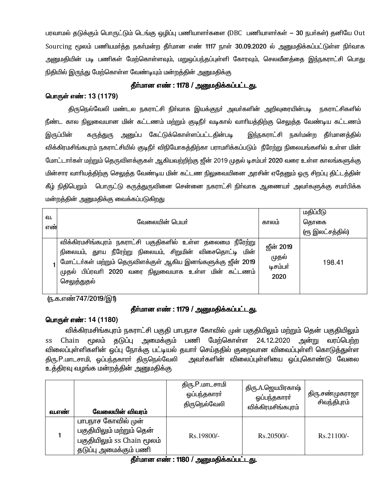பரவாமல் தடுக்கும் பொருட்டும் டெங்கு ஒழிப்பு பணியாளர்களை (DBC பணியாளர்கள் – 30 நபர்கள்) தனியே Out Sourcing மூலம் பணியமர்த்த நகர்மன்ற தீர்மான எண் 1117 நாள் 30.09.2020 ல் அனுமதிக்கப்பட்டுள்ள நிர்வாக <u>அனுமதியின் படி பணிகள் மேற்கொள்ளவும், மறுஒப்பந்தப்புள்ளி கோரவும், செலவீனத்தை இந்நகராட்சி பொது</u> நிதியில் இருந்து மேற்கொள்ள வேண்டியும் மன்றத்தின் அறுமதிக்கு

# தீர்மான எண் : 1178 / அனுமதிக்கப்பட்டது.

# பொருள் எண்: 13 (1179)

திருநெல்வேலி மண்டல நகராட்சி நிா்வாக இயக்குநா் அவா்களின் அறிவுரையின்படி நகராட்சிகளில் நீண்ட கால நிலுவையான மின் கட்டணம் மற்றும் குடிநீா் வடிகால் வாாியத்திற்கு செலுத்த வேண்டிய கட்டணம் கருத்துரு அனுப்ப கேட்டுக்கொள்ளப்பட்டதின்படி இருப்பின் இந்நகராட்சி நகர்மன்ற தீர்மானத்தில் விக்கிரமசிங்கபுரம் நகராட்சியில் குடிநீர் விநியோகத்திற்கா பராமரிக்கப்படும் நீரேற்று நிலையங்களில் உள்ள மின் மோட்டார்கள் மற்றும் தெருவிளக்குகள் ஆகியவற்றிற்கு ஜீன் 2019 முதல் டிசம்பர் 2020 வரை உள்ள காலங்களுக்கு மின்சார வாரியத்திற்கு செலுத்த வேண்டிய மின் கட்டண நிலுவையினை அரசின் ஏதேனும் ஒரு சிறப்பு திட்டத்தின் கீழ் நிதிபெறும் பொருட்டு கருத்துருவினை சென்னை நகராட்சி நிர்வாக ஆணையர் அவர்களுக்கு சமர்பிக்க மன்றத்தின் அனுமதிக்கு வைக்கப்படுகிறது

| வ.<br>எண் | லோவையின் பெயர்                                                                                                                                                                                                                                              | காலம்                                         | மதிப்பீடு<br>தொகை<br>(ரூ இலட்சத்தில்) |
|-----------|-------------------------------------------------------------------------------------------------------------------------------------------------------------------------------------------------------------------------------------------------------------|-----------------------------------------------|---------------------------------------|
|           | விக்கிரமசிங்கபுரம் நகராட்சி பகுதிகளில் உள்ள தலைமை நீரேற்று<br>நிலையம், துாய நீரேற்று நிலையம், சிறுமின் விசைதொட்டி மின்<br>மோட்டர்கள் மற்றும் தெருவிளக்குள் ஆகிய இனங்களுக்கு ஜீன் 2019<br>முதல் பிப்ரவரி 2020 வரை நிலுவையாக உள்ள மின் கட்டணம்<br>செலுத்துதல் | <b>ஜீன் 2019</b><br>முதல்<br>டிசம்பர்<br>2020 | 198.41                                |

(ந.க.எண்747/2019/இ1)

# தீா்மான எண் : 1179 / அனுமதிக்கப்பட்டது.

## பொருள் எண்: 14 (1180)

விக்கிரமசிங்கபுரம் நகராட்சி பகுதி பாபநாச கோவில் முன் பகுதியிலும் மற்றும் தென் பகுதியிலும் Chain மூலம் தடுப்பு அமைக்கும் பணி மேற்கொள்ள 24.12.2020 அன்று வரப்பெற்ற  $SS$ விலைப்புள்ளிகளின் ஒப்பு நோக்கு பட்டியல் தயாா் செய்ததில் குறைவான விவைப்புள்ளி கொடுத்துள்ள திரு.P.மாடசாமி, ஒப்பந்தகாரா் திருநெல்வேலி அவா்களின் விலைப்புள்ளியை ஒப்புகொண்டு வேலை உத்திரவு வழங்க மன்றத்தின் அனுமதிக்கு

| வ.எண் | வேலையின் விவரம்                                                                                       | திரு.P.மாடசாமி<br>ஓப்பந்தகாரா்<br>திருநெல்வேலி | திரு.A.ஜெயபிரகாஷ்<br>ஓப்பந்தகாரா்<br>விக்கிரமசிங்கபுரம் | திரு சண்முகராஜா<br>சிவந்திபுரம் |
|-------|-------------------------------------------------------------------------------------------------------|------------------------------------------------|---------------------------------------------------------|---------------------------------|
|       | பாபநாச கோவில் முன்<br>பகுதியிலும் மற்றும் தென்<br>பகுதியிலும் ss Chain மூலம்<br>தடுப்பு அமைக்கும் பணி | Rs.19800/-                                     | $Rs.20500/-$                                            | $Rs.21100/-$                    |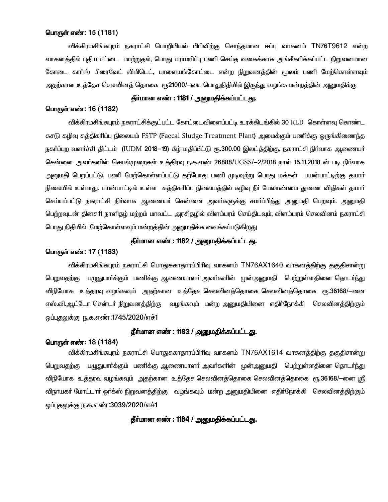### பொருள் எண்: 15 (1181)

விக்கிரமசிங்கபுரம் நகராட்சி பொறியியல் பிரிவிற்கு சொந்தமான ஈப்பு வாகனம் TN76T9612 என்ற வாகனத்தில் புதிய பட்டை மாற்றுதல், பொது பராமரிப்பு பணி செய்த வகைக்காக அங்கீகரிக்கப்பட்ட நிறுவனமான கோடை கார்ஸ் பிரைவேட் லிமிடெட், பாளையங்கோட்டை என்ற நிறுவனத்தின் மூலம் பணி மேற்கொள்ளவும் அதற்கான உத்தேச செலவினத் தொகை ரூ21000/—யை பொதுநிதியில் இருந்து வழங்க மன்றத்தின் அனுமதிக்கு.

# தீர்மான எண் : 1181 / அனுமதிக்கப்பட்டது.

#### பொருள் எண்: 16 (1182)

விக்கிரமசிங்கபுரம் நகராட்சிக்குட்பட்ட கோட்டைவிளைப்பட்டி உரக்கிடங்கில் 30 KLD கொள்ளவு கொண்ட கசடு கழிவு சுத்திகரிப்பு நிலையம் FSTP (Faecal Sludge Treatment Plant) அமைக்கும் பணிக்கு ஒருங்கிணைந்த நகர்ப்புற வளர்ச்சி திட்டம் (IUDM 2018–19) கீழ் மதிப்பீட்டு ரூ.300.00 இலட்த்திற்கு, நகராட்சி நிர்வாக ஆணையர் சென்னை அவர்களின் செயல்முறைகள் உத்திரவு ந.க.எண் 26888/UGSS/—2/2018 நாள் 15.11.2018 ன் படி நிர்வாக அறைமதி பெறப்பட்டு, பணி மேற்கொள்ளப்பட்டு கற்போது பணி முடிவற்று பொது மக்கள் பயன்பாட்டிற்கு தயார். நிலையில் உள்ளது. பயன்பாட்டில் உள்ள சுத்திகரிப்பு நிலையத்தில் கழிவு நீா் மேலாண்மை துணை விதிகள் தயாா் செய்யப்பட்டு நகராட்சி நிர்வாக ஆணையர் சென்னை அவர்களுக்கு சமர்ப்பித்து அனுமதி பெறவும். அனுமதி பெற்றவுடன் தினசரி நாளிதழ் மற்றம் மாவட்ட அரசிதழில் விளம்பரம் செய்திடவும், விளம்பரம் செலவினம் நகராட்சி பொது நிதியில் மேற்கொள்ளவும் மன்றத்தின் அனுமதிக்க வைக்கப்படுகிறது

# தீர்மான எண் : 1182 / அனுமதிக்கப்பட்டது.

### பொருள் எண்: 17 (1183)

விக்கிரமசிங்கபுரம் நகராட்சி பொதுசுகாதாரப்பிரிவு வாகனம் TN76AX1640 வாகனத்திற்கு தகுதிசான்று பெறுவதற்கு பழுதுபாா்க்கும் பணிக்கு ஆணையாளா் அவா்களின் முன்அனுமதி பெற்றுள்ளதினை தொடா்ந்து விநியோக உத்தரவு வழங்கவும் அதற்கான உத்தேச செலவினத்தொகை செலவினத்தொகை ரூ.36168/—னை எஸ்.வி.ஆட்டோ சென்டா் நிறுவனத்திற்கு வழங்கவும் மன்ற அனுமதியினை எதிா்நோக்கி செலவினத்திற்கும் <u> ஒப்புதலுக்கு</u> ந.க.எண்:1745/2020/எச்1

### தீா்மான எண் : 1183 / அனுமதிக்கப்பட்டது.

### பொருள் எண்: 18 (1184)

விக்கிரமசிங்கபுரம் நகராட்சி பொதுசுகாதாரப்பிரிவு வாகனம் TN76AX1614 வாகனக்கிற்கு தகுதிசான்று பெறுவதற்கு பழுதுபார்க்கும் பணிக்கு ஆணையாளர் அவர்களின் முன்அனுமதி பெற்றுள்ளதினை தொடர்ந்து விநியோக உத்தரவு வழங்கவும் அதற்கான உத்தேச செலவினத்தொகை செலவினத்தொகை ரூ.36168/—னை ஸ்ரீ விநாயகா் மோட்டாா் ஒா்க்ஸ் நிறுவனத்திற்கு வழங்கவும் மன்ற அனுமதியினை எதிா்நோக்கி செலவினத்திற்கும் ஒப்புதலுக்கு ந.க.எண்:3039/2020/எச்1

## தீர்மான எண் : 1184 / அனுமதிக்கப்பட்டது.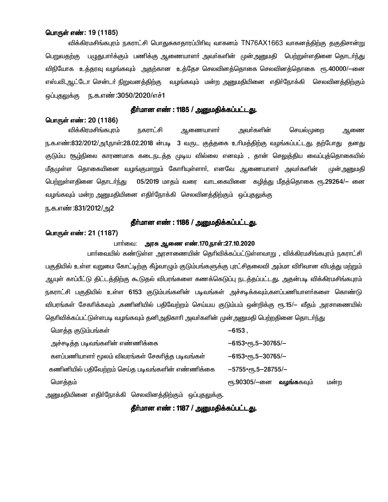### பொருள் எண்: 19 (1185)

விக்கிரமசிங்கபுரம் நகராட்சி பொதுசுகாதாரப்பிரிவு வாகனம் TN76AX1663 வாகனத்திற்கு தகுதிசான்று <u>பெறுவதற்கு பழுதுபார்க்கும் பணிக்கு ஆணையாளர் அவர்களின் முன்அனுமதி பெற்றுள்ளதினை தொடர்ந்து </u> விநியோக உத்தரவு வழங்கவும் அதற்கான உத்தேச செலவினத்தொகை செலவினத்தொகை ரூ.40000/—னை எஸ்.வி.ஆட்டோ சென்டா் நிறுவனத்திற்கு வழங்கவும் மன்ற அனுமதியினை எதிா்நோக்கி செலவினத்திற்கும் <u>ஒப்புதலுக்கு நக.எண்:3050/2020/எச்1</u>

## தீா்மான எண் : 1185 / அனுமதிக்கப்பட்டது.

### பொருள் எண்: 20 (1186)

அவா்களின் விக்கிரமசிங்கபுரம் நகராட்சி ஆணையாளா்<br>-செயல்முறை ஆணை ந.க.எண்:832/2012/அ1,நாள்:28.02.2018 ன்படி 3 வருட குத்தகை உரிமத்திற்கு வழங்கப்பட்டது. தற்போது தனது குடும்ப சூழ்நிலை காரணமாக கடைநடத்த முடிய வில்லை எனவும் , தான் செலுத்திய வைப்புத்தொகையில் மீதமுள்ள தொகையினை வழங்குமாறும் கோரியுள்ளார், எனவே ஆணையாளர் அவர்களின் முன் அனுமதி 05/2019 மாதம் வரை வாடகையினை கழித்து மீதத்தொகை ரூ.29264/– னை பெற்றுள்ளதினை தொடர்ந்து வழங்கவும் மன்ற அனுமதியினை எதிா்நோக்கி செலவினத்திற்கும் ஒப்புதலுக்கு

ந.க.எண்:831/2012/அ2

### தீா்மான எண் : 1186 / <u>அனு</u>மதிக்கப்பட்டது.

### பொருள் எண்: 21 (1187)

### பார்வை: அரசு ஆணை எண்.170,நாள்:27.10.2020

பாா்வையில் கண்டுள்ள அரசாணையின் தொிவிக்கப்பட்டுள்ளவாறு , விக்கிரமசிங்கபுரம் நகராட்சி பகுதியில் உள்ள வறுமை கோட்டிற்கு கீழ்வாழும் குடும்பங்களுக்கு புரட்சிதலைவி அம்மா விரிவான விபத்து மற்றும் ஆயுள் காப்பீட்டு திட்டத்திற்கு கூடுதல் விபரங்களை கணக்கெடுப்பு நடத்தப்பட்டது. அதன்படி விக்கிரமசிங்கபுரம் நகராட்சி பகுதியில் உள்ள 6153 குடும்பங்களின் படிவங்கள் அச்சடிக்கவும்,களப்பணியாளா்களை கொண்டு விபரங்கள் சேகரிக்கவும் ,கணினியில் பதிவேற்றம் செய்யய குடும்பம் ஒன்றிக்கு ரூ.15/— வீதம் அரசாணையில் தெரிவிக்கப்பட்டுள்ளபடி வழங்கவும் தனி,அதிகாரி அவர்களின் முன்,அனுமதி பெற்றதினை தொடர்ந்து

மொத்த குடும்பங்கள்  $-6153$ , அச்சடித்த படிவங்களின் எண்ணிக்கை  $-6153$ \*er<sub>5</sub>.5-30765/-களப்பணியாளர் மூலம் விவரங்கள் சேகரிக்க படிவங்கள்  $-6153$ \*elfi.5-30765/-கணினியில் பதிவேற்றம் செய்த படிவங்களின் எண்ணிக்கை  $-5755*$ err, 5-28755/-மொக்கம் ரு.90305/-னை வழங்ககவும் மன்ற

அனுமதியினை எதிா்நோக்கி செலவினத்திற்கும் ஒப்புதலுக்கு.

## தீா்மான எண் : 1187 / அனுமதிக்கப்பட்டது.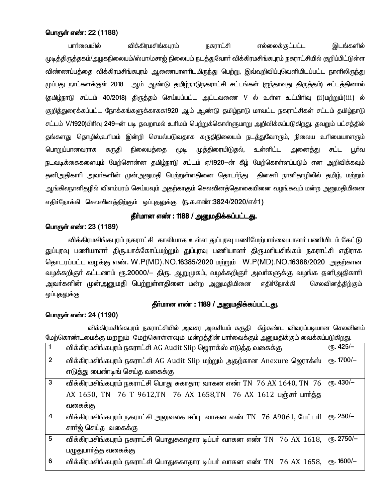## பொருள் எண்: 22 (1188)

பார்வையில் விக்கிரமசிங்கபுரம் நகராட்சி எல்லைக்குட்பட்ட இடங்களில் முடித்திருத்தகம்/அழகநிலையம்/ஸ்பா/மசாஜ் நிலையம் நடத்துவோர் விக்கிரமசிங்கபுரம் நகராட்சியில் குறிப்பிட்டுள்ள விண்ணப்பத்தை விக்கிரமசிங்கபுரம் ஆணையாளாிடமிருந்து பெற்று, இவ்வறிவிப்புவெளியிடப்பட்ட நாளிலிருந்து முப்பது நாட்களக்குள் 2018 ஆம் ஆண்டு தமிழ்நாடுநகராட்சி சட்டங்கள் (ஐந்தாவது திருத்தம்) சட்டத்தினால் (தமிழ்நாடு சட்டம் 40/2018) திருத்தம் செய்யப்பட்ட அட்டவணை V ல் உள்ள உட்பிரிவு (ii)மற்றும்(iii) ல் குறித்துரைக்கப்பட்ட நோக்கங்களுக்காகக1920 ஆம் ஆண்டு தமிழ்நாடு மாவட்ட நகராட்சிகள் சட்டம் தமிழ்நாடு சட்டம் V/1920)பிரிவு 249-ன் படி தவறாமல் உரிமம் பெற்றுக்கொள்ளுமாறு அறிவிக்கப்படுகிறது. தவறும் பட்சக்தில் தங்களது தொழில்,உரிமம் இன்றி செயல்படுவதாக கருதிநிலையம் நடத்துவோரும், நிலைய உரிமையாளரும் பொறுப்பானவராக கருதி நிலையத்தை ሮጠቅ முத்திரையிடுதல், உள்ளிட்ட அனை<u>க்க</u>ு சட்ட பூர்வ நடவடிக்கைகளையும் மேற்சொன்ன தமிழ்நாடு சட்டம் ஏ/1920—ன் கீழ் மேற்கொள்ளப்படும் என அறிவிக்கவும் தனிஅதிகாாி அவா்களின் முன்அனுமதி பெற்றுள்ளதினை தொடா்ந்து தினசாி நாளிதாழிலில் தமிழ், மற்றும் ஆங்கிலநாளிதழில் விளம்பரம் செய்யவும் அதற்காகும் செலவினத்தொகையினை வழங்கவும் மன்ற அனுமதியினை எதிர்நோக்கி செலவினத்திற்கும் ஒப்புதலுக்கு (ந.க.எண்:3824/2020/எச்1)

# தீர்மான எண் : 1188 / அனுமதிக்கப்பட்டது.

## பொருள் எண்: 23 (1189)

விக்கிரமசிங்கபுரம் நகராட்சி காலியாக உள்ள துப்புரவு பணிமேற்பாா்வையாளா் பணியிடம் கேட்டு துப்புரவு பணியாளா் திரு.யாக்கோப்,மற்றும் துப்புரவு பணியாளா் திரு.மாியசிங்கம் நகராட்சி எதிராக கொடரப்பட்ட வழக்கு எண். W.P(MD).NO.16385/2020 மற்றும் W.P(MD).NO.16388/2020 அகற்கான வழக்கறிஞா் கட்டணம் ரூ.20000/— திரு. ஆறுமுகம், வழக்கறிஞா் அவா்களுக்கு வழங்க தனிஅதிகாாி எதிர்நோக்கி அவா்களின் முன்அனுமதி பெற்றுள்ளதினை மன்ற அனுமதியினை செலவினத்திற்கும் ஒப்புதலுக்கு

## தீர்மான எண் : 1189 / அனுமதிக்கப்பட்டது.

### பொருள் எண்: 24 (1190)

விக்கிரமசிங்கபுரம் நகராட்சியில் அவசர அவசியம் கருதி கீழ்கண்ட விவரப்படியான செலவினம் மேற்கொண்டமைக்கு மற்றும் மேற்கொள்ளவும் மன்றத்தின் பார்வைக்கும் அனுமதிக்கும் வைக்கப்படுகிறது.

|                | விக்கிரமசிங்கபுரம் நகராட்சி AG Audit Slip ஜெராக்ஸ் எடுத்த வகைக்கு                          | $\epsilon$ гђ. 425/- |
|----------------|--------------------------------------------------------------------------------------------|----------------------|
| $\overline{2}$ | விக்கிரமசிங்கபுரம் நகராட்சி AG Audit Slip மற்றும் அதற்கான Anexure ஜெராக்ஸ்                 | етъ. 1700/-          |
|                | எடுத்து பைண்டிங் செய்த வகைக்கு                                                             |                      |
| 3              | விக்கிரமசிங்கபுரம் நகராட்சி பொது சுகாதார வாகன எண் $\,$ TN $\,$ 76 AX 1640, TN $\,$ 76 $\,$ | $e$ гђ. 430/-        |
|                | AX 1650, TN 76 T 9612, TN 76 AX 1658, TN 76 AX 1612 பஞ்சர் பார்த்த                         |                      |
|                | வகைக்கு                                                                                    |                      |
| $\overline{4}$ | விக்கிரமசிங்கபுரம் நகராட்சி அலுவலக ஈப்பு வாகன எண் TN 76 A9061, பேட்டரி                     | $e$ гђ. 250/-        |
|                | சாா்ஜ் செய்த வகைக்கு                                                                       |                      |
| $5\phantom{1}$ | விக்கிரமசிங்கபுரம் நகராட்சி பொதுசுகாதார டிப்பர் வாகன எண் TN $76$ AX $1618$ ,               | ет. 2750/-           |
|                | பழுதுபார்த்த வகைக்கு                                                                       |                      |
| 6              | விக்கிரமசிங்கபுரம் நகராட்சி பொதுசுகாதார டிப்பர் வாகன எண் TN 76 AX 1658,                    | $e$ гђ. 1600/-       |
|                |                                                                                            |                      |